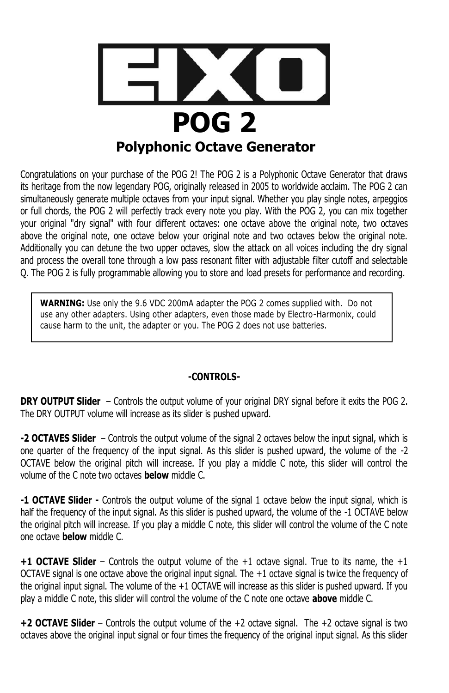

Congratulations on your purchase of the POG 2! The POG 2 is a Polyphonic Octave Generator that draws its heritage from the now legendary POG, originally released in 2005 to worldwide acclaim. The POG 2 can simultaneously generate multiple octaves from your input signal. Whether you play single notes, arpeggios or full chords, the POG 2 will perfectly track every note you play. With the POG 2, you can mix together your original "dry signal" with four different octaves: one octave above the original note, two octaves above the original note, one octave below your original note and two octaves below the original note. Additionally you can detune the two upper octaves, slow the attack on all voices including the dry signal and process the overall tone through a low pass resonant filter with adjustable filter cutoff and selectable Q. The POG 2 is fully programmable allowing you to store and load presets for performance and recording.

**WARNING:** Use only the 9.6 VDC 200mA adapter the POG 2 comes supplied with. Do not use any other adapters. Using other adapters, even those made by Electro-Harmonix, could cause harm to the unit, the adapter or you. The POG 2 does not use batteries.

### **-CONTROLS-**

**DRY OUTPUT Slider** – Controls the output volume of your original DRY signal before it exits the POG 2. The DRY OUTPUT volume will increase as its slider is pushed upward.

**-2 OCTAVES Slider** – Controls the output volume of the signal 2 octaves below the input signal, which is one quarter of the frequency of the input signal. As this slider is pushed upward, the volume of the -2 OCTAVE below the original pitch will increase. If you play a middle C note, this slider will control the volume of the C note two octaves **below** middle C.

**-1 OCTAVE Slider -** Controls the output volume of the signal 1 octave below the input signal, which is half the frequency of the input signal. As this slider is pushed upward, the volume of the -1 OCTAVE below the original pitch will increase. If you play a middle C note, this slider will control the volume of the C note one octave **below** middle C.

**+1 OCTAVE Slider** – Controls the output volume of the +1 octave signal. True to its name, the +1 OCTAVE signal is one octave above the original input signal. The +1 octave signal is twice the frequency of the original input signal. The volume of the +1 OCTAVE will increase as this slider is pushed upward. If you play a middle C note, this slider will control the volume of the C note one octave **above** middle C.

**+2 OCTAVE Slider** – Controls the output volume of the +2 octave signal. The +2 octave signal is two octaves above the original input signal or four times the frequency of the original input signal. As this slider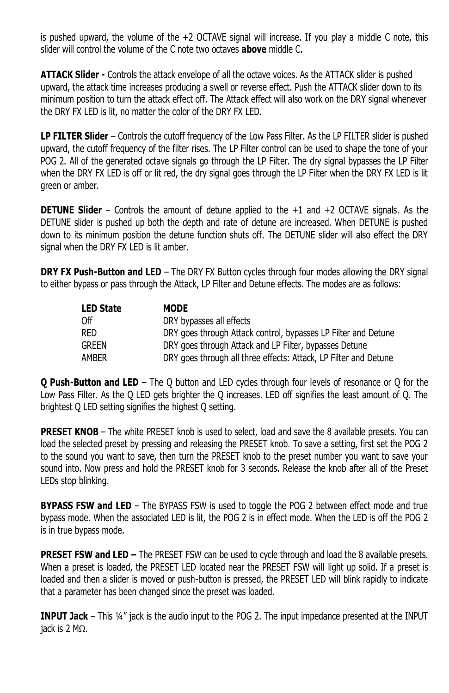is pushed upward, the volume of the +2 OCTAVE signal will increase. If you play a middle C note, this slider will control the volume of the C note two octaves **above** middle C.

**ATTACK Slider -** Controls the attack envelope of all the octave voices. As the ATTACK slider is pushed upward, the attack time increases producing a swell or reverse effect. Push the ATTACK slider down to its minimum position to turn the attack effect off. The Attack effect will also work on the DRY signal whenever the DRY FX LED is lit, no matter the color of the DRY FX LED.

**LP FILTER Slider** – Controls the cutoff frequency of the Low Pass Filter. As the LP FILTER slider is pushed upward, the cutoff frequency of the filter rises. The LP Filter control can be used to shape the tone of your POG 2. All of the generated octave signals go through the LP Filter. The dry signal bypasses the LP Filter when the DRY FX LED is off or lit red, the dry signal goes through the LP Filter when the DRY FX LED is lit green or amber.

**DETUNE Slider** – Controls the amount of detune applied to the +1 and +2 OCTAVE signals. As the DETUNE slider is pushed up both the depth and rate of detune are increased. When DETUNE is pushed down to its minimum position the detune function shuts off. The DETUNE slider will also effect the DRY signal when the DRY FX LED is lit amber.

**DRY FX Push-Button and LED** – The DRY FX Button cycles through four modes allowing the DRY signal to either bypass or pass through the Attack, LP Filter and Detune effects. The modes are as follows:

| <b>LED State</b> | <b>MODE</b>                                                      |
|------------------|------------------------------------------------------------------|
| Off              | DRY bypasses all effects                                         |
| <b>RED</b>       | DRY goes through Attack control, bypasses LP Filter and Detune   |
| <b>GREEN</b>     | DRY goes through Attack and LP Filter, bypasses Detune           |
| AMBER            | DRY goes through all three effects: Attack, LP Filter and Detune |

**Q Push-Button and LED** – The Q button and LED cycles through four levels of resonance or Q for the Low Pass Filter. As the Q LED gets brighter the Q increases. LED off signifies the least amount of Q. The brightest Q LED setting signifies the highest Q setting.

**PRESET KNOB** – The white PRESET knob is used to select, load and save the 8 available presets. You can load the selected preset by pressing and releasing the PRESET knob. To save a setting, first set the POG 2 to the sound you want to save, then turn the PRESET knob to the preset number you want to save your sound into. Now press and hold the PRESET knob for 3 seconds. Release the knob after all of the Preset LEDs stop blinking.

**BYPASS FSW and LED** – The BYPASS FSW is used to toggle the POG 2 between effect mode and true bypass mode. When the associated LED is lit, the POG 2 is in effect mode. When the LED is off the POG 2 is in true bypass mode.

**PRESET FSW and LED –** The PRESET FSW can be used to cycle through and load the 8 available presets. When a preset is loaded, the PRESET LED located near the PRESET FSW will light up solid. If a preset is loaded and then a slider is moved or push-button is pressed, the PRESET LED will blink rapidly to indicate that a parameter has been changed since the preset was loaded.

**INPUT Jack** – This ¼" jack is the audio input to the POG 2. The input impedance presented at the INPUT jack is  $2 M<sub>2</sub>$ .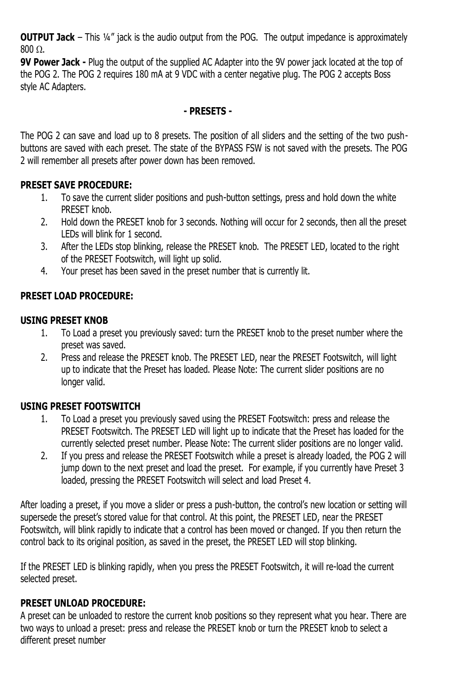**OUTPUT Jack** – This 1/4" jack is the audio output from the POG. The output impedance is approximately  $800 \Omega$ .

**9V Power Jack -** Plug the output of the supplied AC Adapter into the 9V power jack located at the top of the POG 2. The POG 2 requires 180 mA at 9 VDC with a center negative plug. The POG 2 accepts Boss style AC Adapters.

### **- PRESETS -**

The POG 2 can save and load up to 8 presets. The position of all sliders and the setting of the two pushbuttons are saved with each preset. The state of the BYPASS FSW is not saved with the presets. The POG 2 will remember all presets after power down has been removed.

### **PRESET SAVE PROCEDURE:**

- 1. To save the current slider positions and push-button settings, press and hold down the white PRESET knob.
- 2. Hold down the PRESET knob for 3 seconds. Nothing will occur for 2 seconds, then all the preset LEDs will blink for 1 second.
- 3. After the LEDs stop blinking, release the PRESET knob. The PRESET LED, located to the right of the PRESET Footswitch, will light up solid.
- 4. Your preset has been saved in the preset number that is currently lit.

# **PRESET LOAD PROCEDURE:**

### **USING PRESET KNOB**

- 1. To Load a preset you previously saved: turn the PRESET knob to the preset number where the preset was saved.
- 2. Press and release the PRESET knob. The PRESET LED, near the PRESET Footswitch, will light up to indicate that the Preset has loaded. Please Note: The current slider positions are no longer valid.

# **USING PRESET FOOTSWITCH**

- 1. To Load a preset you previously saved using the PRESET Footswitch: press and release the PRESET Footswitch. The PRESET LED will light up to indicate that the Preset has loaded for the currently selected preset number. Please Note: The current slider positions are no longer valid.
- 2. If you press and release the PRESET Footswitch while a preset is already loaded, the POG 2 will jump down to the next preset and load the preset. For example, if you currently have Preset 3 loaded, pressing the PRESET Footswitch will select and load Preset 4.

After loading a preset, if you move a slider or press a push-button, the control's new location or setting will supersede the preset's stored value for that control. At this point, the PRESET LED, near the PRESET Footswitch, will blink rapidly to indicate that a control has been moved or changed. If you then return the control back to its original position, as saved in the preset, the PRESET LED will stop blinking.

If the PRESET LED is blinking rapidly, when you press the PRESET Footswitch, it will re-load the current selected preset.

# **PRESET UNLOAD PROCEDURE:**

A preset can be unloaded to restore the current knob positions so they represent what you hear. There are two ways to unload a preset: press and release the PRESET knob or turn the PRESET knob to select a different preset number